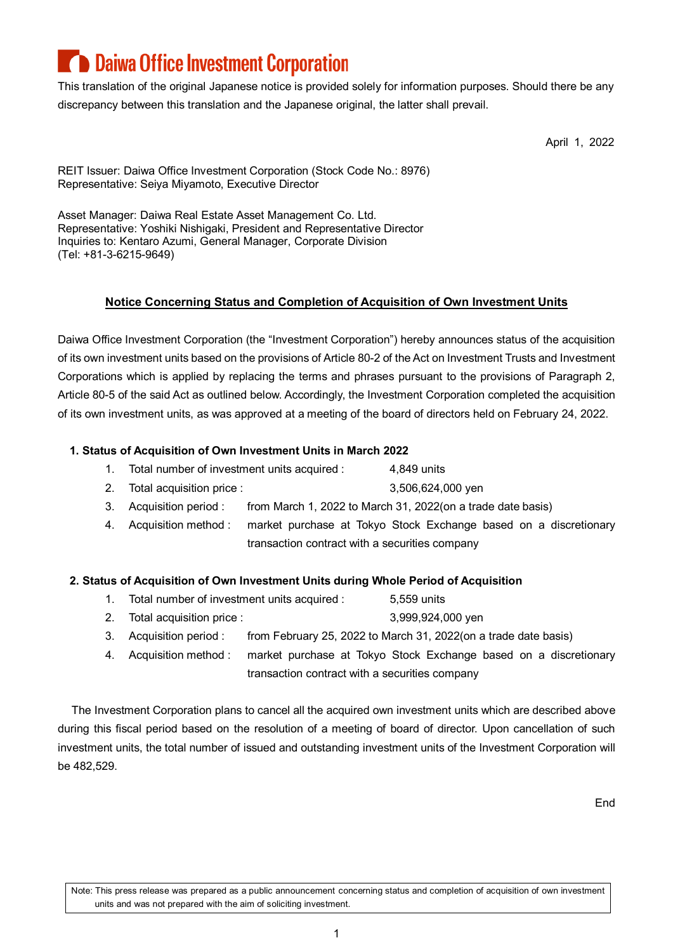# **Daiwa Office Investment Corporation**

This translation of the original Japanese notice is provided solely for information purposes. Should there be any discrepancy between this translation and the Japanese original, the latter shall prevail.

April 1, 2022

REIT Issuer: Daiwa Office Investment Corporation (Stock Code No.: 8976) Representative: Seiya Miyamoto, Executive Director

Asset Manager: Daiwa Real Estate Asset Management Co. Ltd. Representative: Yoshiki Nishigaki, President and Representative Director Inquiries to: Kentaro Azumi, General Manager, Corporate Division (Tel: +81-3-6215-9649)

### **Notice Concerning Status and Completion of Acquisition of Own Investment Units**

Daiwa Office Investment Corporation (the "Investment Corporation") hereby announces status of the acquisition of its own investment units based on the provisions of Article 80-2 of the Act on Investment Trusts and Investment Corporations which is applied by replacing the terms and phrases pursuant to the provisions of Paragraph 2, Article 80-5 of the said Act as outlined below. Accordingly, the Investment Corporation completed the acquisition of its own investment units, as was approved at a meeting of the board of directors held on February 24, 2022.

### **1. Status of Acquisition of Own Investment Units in March 2022**

- 1. Total number of investment units acquired : 4,849 units
- 2. Total acquisition price : 3,506,624,000 yen
- 3. Acquisition period : from March 1, 2022 to March 31, 2022(on a trade date basis)
- 4. Acquisition method : market purchase at Tokyo Stock Exchange based on a discretionary transaction contract with a securities company

### **2. Status of Acquisition of Own Investment Units during Whole Period of Acquisition**

- 1. Total number of investment units acquired : 5,559 units
- 2. Total acquisition price : 3,999,924,000 yen
- 3. Acquisition period : from February 25, 2022 to March 31, 2022(on a trade date basis)
- 4. Acquisition method : market purchase at Tokyo Stock Exchange based on a discretionary transaction contract with a securities company

The Investment Corporation plans to cancel all the acquired own investment units which are described above during this fiscal period based on the resolution of a meeting of board of director. Upon cancellation of such investment units, the total number of issued and outstanding investment units of the Investment Corporation will be 482,529.

End

Note: This press release was prepared as a public announcement concerning status and completion of acquisition of own investment units and was not prepared with the aim of soliciting investment.